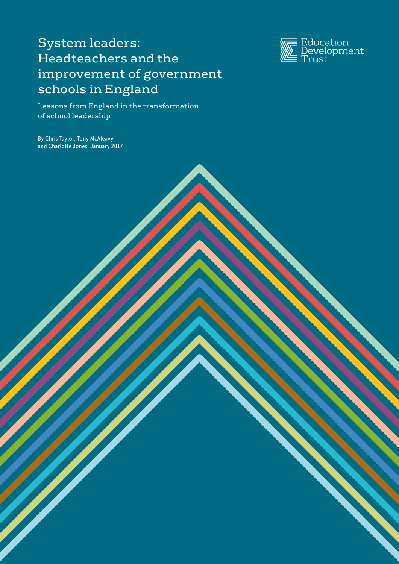# System leaders: Headteachers and the improvement of government schools in England



Lessons from England in the transformation of school leadership

By Chris Taylor, Tony McAleavy and Charlotte Jones, January 2017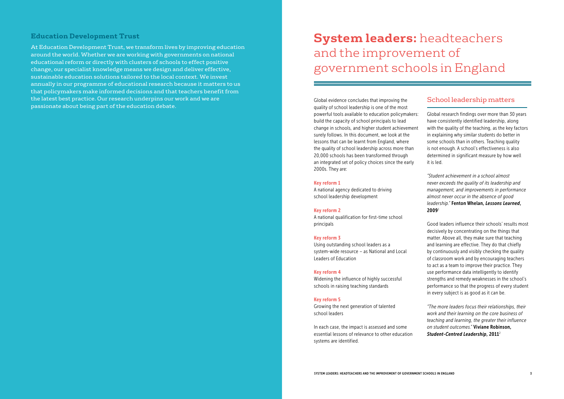### **Education Development Trust**

At Education Development Trust, we transform lives by improving education around the world. Whether we are working with governments on national educational reform or directly with clusters of schools to effect positive change, our specialist knowledge means we design and deliver effective, sustainable education solutions tailored to the local context. We invest annually in our programme of educational research because it matters to us that policymakers make informed decisions and that teachers benefit from the latest best practice. Our research underpins our work and we are passionate about being part of the education debate.

Global evidence concludes that improving the quality of school leadership is one of the most powerful tools available to education policymakers: build the capacity of school principals to lead change in schools, and higher student achievement surely follows. In this document, we look at the lessons that can be learnt from England, where the quality of school leadership across more than 20,000 schools has been transformed through an integrated set of policy choices since the early 2000s. They are:

#### Key reform 1

A national agency dedicated to driving school leadership development

#### Key reform 2

A national qualification for first-time school principals

#### Key reform 3

Using outstanding school leaders as a system-wide resource – as National and Local Leaders of Education

#### Key reform 4

Widening the influence of highly successful schools in raising teaching standards

#### Key reform 5

Growing the next generation of talented school leaders

In each case, the impact is assessed and some essential lessons of relevance to other education systems are identified.

# School leadership matters

Global research findings over more than 30 years have consistently identified leadership, along with the quality of the teaching, as the key factors in explaining why similar students do better in some schools than in others. Teaching quality is not enough. A school's effectiveness is also determined in significant measure by how well it is led.

*"Student achievement in a school almost never exceeds the quality of its leadership and management, and improvements in performance almost never occur in the absence of good leadership."* Fenton Whelan, *Lessons Learned*, 2009<sup>1</sup>

Good leaders influence their schools' results most decisively by concentrating on the things that matter. Above all, they make sure that teaching and learning are effective. They do that chiefly by continuously and visibly checking the quality of classroom work and by encouraging teachers to act as a team to improve their practice. They use performance data intelligently to identify strengths and remedy weaknesses in the school's performance so that the progress of every student in every subject is as good as it can be.

*"The more leaders focus their relationships, their work and their learning on the core business of teaching and learning, the greater their influence on student outcomes."* Viviane Robinson, *Student-Centred Leadership*, 2011<sup>2</sup>

# **System leaders:** headteachers and the improvement of government schools in England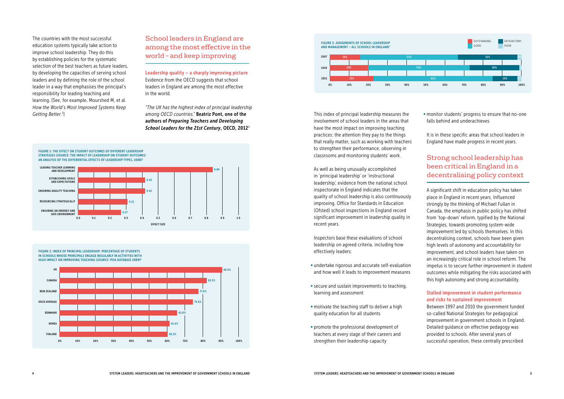The countries with the most successful education systems typically take action to improve school leadership. They do this by establishing policies for the systematic selection of the best teachers as future leaders, by developing the capacities of serving school leaders and by defining the role of the school leader in a way that emphasises the principal's responsibility for leading teaching and learning. [See, for example, Mourshed M, et al. *How the World's Most Improved Systems Keep Getting Better*. 3 ]

# School leaders in England are among the most effective in the world – and keep improving

Leadership quality – a sharply improving picture Evidence from the OECD suggests that school leaders in England are among the most effective in the world.

*"The UK has the highest index of principal leadership among OECD countries."* Beatriz Pont, one of the authors of *Preparing Teachers and Developing School Leaders for the 21st Century*, OECD, 2012<sup>4</sup>



UK CANADA **NEW ZEALAND** OECD AVERAGE DENMARK KOREA FINLAND FIGURE 2: INDEX OF PRINCIPAL LEADERSHIP: PERCENTAGE OF STUDENTS IN SCHOOLS WHOSE PRINCIPALS ENGAGE REGULARLY IN ACTIVITIES WITH HIGH IMPACT ON IMPROVING TEACHING (*SOURCE:* PISA DATABASE 2009)6 0% 10% 20% 30% 40% 50% 60% 70% 80% 90% 100% 74.6% 77.6% 82.3% 90.9% 65.8% 61.6% 60.5%

This index of principal leadership measures the involvement of school leaders in the areas that have the most impact on improving teaching practices: the attention they pay to the things that really matter, such as working with teachers to strengthen their performance, observing in classrooms and monitoring students' work.

As well as being unusually accomplished in 'principal leadership' or 'instructional leadership', evidence from the national school inspectorate in England indicates that the quality of school leadership is also continuously improving. Office for Standards in Education (Ofsted) school inspections in England record significant improvement in leadership quality in recent years.

Inspectors base these evaluations of school leadership on agreed criteria, including how effectively leaders:

- undertake rigorous and accurate self-evaluation and how well it leads to improvement measures
- •secure and sustain improvements to teaching, learning and assessment
- motivate the teaching staff to deliver a high quality education for all students
- promote the professional development of teachers at every stage of their careers and strengthen their leadership capacity

• monitor students' progress to ensure that no-one falls behind and underachieves

It is in these specific areas that school leaders in England have made progress in recent years.

# Strong school leadership has been critical in England in a decentralising policy context

A significant shift in education policy has taken place in England in recent years. Influenced strongly by the thinking of Michael Fullan in Canada, the emphasis in public policy has shifted from 'top-down' reform, typified by the National Strategies, towards promoting system-wide improvement led by schools themselves. In this decentralising context, schools have been given high levels of autonomy and accountability for improvement, and school leaders have taken on an increasingly critical role in school reform. The impetus is to secure further improvement in student outcomes while mitigating the risks associated with this high autonomy and strong accountability.

#### Stalled improvement in student performance and risks to sustained improvement

Between 1997 and 2010 the government funded so-called National Strategies for pedagogical improvement in government schools in England. Detailed guidance on effective pedagogy was provided to schools. After several years of successful operation, these centrally prescribed

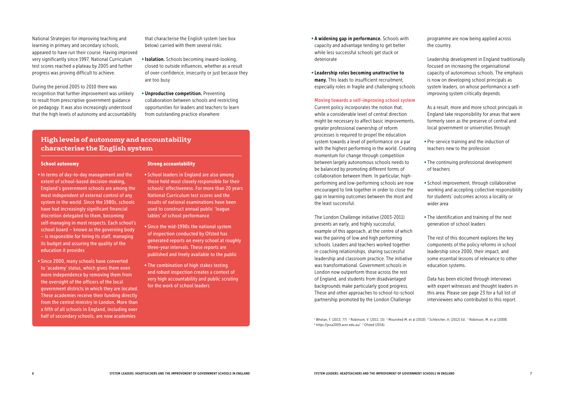National Strategies for improving teaching and learning in primary and secondary schools, appeared to have run their course. Having improved very significantly since 1997, National Curriculum test scores reached a plateau by 2005 and further progress was proving difficult to achieve.

During the period 2005 to 2010 there was recognition that further improvement was unlikely to result from prescriptive government guidance on pedagogy. It was also increasingly understood that the high levels of autonomy and accountability that characterise the English system (see box below) carried with them several risks:

- •Isolation. Schools becoming inward-looking, closed to outside influences, whether as a result of over-confidence, insecurity or just because they are too busy
- Unproductive competition. Preventing collaboration between schools and restricting opportunities for leaders and teachers to learn from outstanding practice elsewhere

#### School autonomy

- •In terms of day-to-day management and the extent of school-based decision-making, England's government schools are among the most independent of external control of any system in the world. Since the 1980s, schools have had increasingly significant financial discretion delegated to them, becoming self-managing in most respects. Each school's school board – known as the governing body – is responsible for hiring its staff, managing its budget and assuring the quality of the education it provides
- Since 2000, many schools have converted to 'academy' status, which gives them even more independence by removing them from the oversight of the officers of the local government districts in which they are located. These academies receive their funding directly from the central ministry in London. More than a fifth of all schools in England, including over half of secondary schools, are now academies

#### Strong accountability

- School leaders in England are also among those held most closely responsible for their schools' effectiveness. For more than 20 years National Curriculum test scores and the results of national examinations have been used to construct annual public 'league tables' of school performance
- Since the mid-1990s the national system of inspection conducted by Ofsted has generated reports on every school at roughly three-year intervals. These reports are published and freely available to the public
- The combination of high stakes testing and robust inspection creates a context of very high accountability and public scrutiny for the work of school leaders

# **High levels of autonomy and accountability characterise the English system**

- A widening gap in performance. Schools with capacity and advantage tending to get better while less successful schools get stuck or deteriorate
- Leadership roles becoming unattractive to many. This leads to insufficient recruitment, especially roles in fragile and challenging schools

<sup>1</sup> Whelan, F. (2013; 77) <sup>2</sup> Robinson, V. (2011; 15) <sup>3</sup> Mourshed M. et al (2010) <sup>4</sup> Schleicher, A. (2012) Ed. <sup>5</sup> Robinson, M. et al (2008) 6 https://pisa2009.acer.edu.au/ 7 Ofsted (2016)

#### Moving towards a self-improving school system Current policy incorporates the notion that, while a considerable level of central direction might be necessary to affect basic improvements, greater professional ownership of reform processes is required to propel the education system towards a level of performance on a par with the highest performing in the world. Creating momentum for change through competition between largely autonomous schools needs to be balanced by promoting different forms of collaboration between them. In particular, highperforming and low-performing schools are now encouraged to link together in order to close the gap in learning outcomes between the most and the least successful.

The London Challenge initiative (2003-2011) presents an early, and highly successful, example of this approach, at the centre of which was the pairing of low and high performing schools. Leaders and teachers worked together in coaching relationships, sharing successful leadership and classroom practice. The initiative was transformational. Government schools in London now outperform those across the rest of England, and students from disadvantaged backgrounds make particularly good progress. These and other approaches to school-to-school partnership promoted by the London Challenge

programme are now being applied across the country.

Leadership development in England traditionally focused on increasing the organisational capacity of autonomous schools. The emphasis is now on developing school principals as system leaders, on whose performance a selfimproving system critically depends.

As a result, more and more school principals in England take responsibility for areas that were formerly seen as the preserve of central and local government or universities through:

• Pre-service training and the induction of teachers new to the profession

• The continuing professional development of teachers

• School improvement, through collaborative working and accepting collective responsibility for students' outcomes across a locality or wider area

• The identification and training of the next generation of school leaders

The rest of this document explores the key components of the policy reforms in school leadership since 2000, their impact, and some essential lessons of relevance to other education systems.

Data has been elicited through interviews with expert witnesses and thought leaders in this area. Please see page 23 for a full list of interviewees who contributed to this report.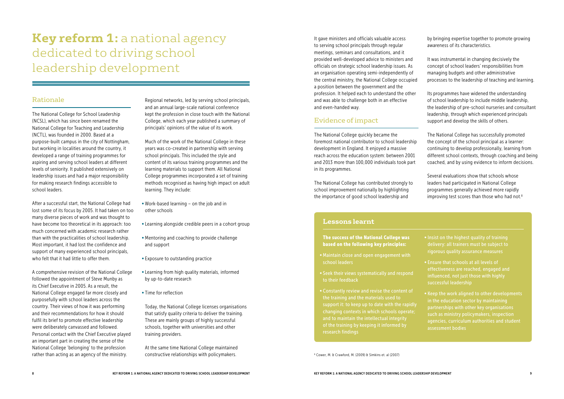# **Key reform 1:** a national agency dedicated to driving school leadership development

# Rationale

The National College for School Leadership (NCSL), which has since been renamed the National College for Teaching and Leadership (NCTL), was founded in 2000. Based at a purpose-built campus in the city of Nottingham, but working in localities around the country, it developed a range of training programmes for aspiring and serving school leaders at different levels of seniority. It published extensively on leadership issues and had a major responsibility for making research findings accessible to school leaders.

After a successful start, the National College had lost some of its focus by 2005. It had taken on too many diverse pieces of work and was thought to have become too theoretical in its approach: too much concerned with academic research rather than with the practicalities of school leadership. Most important, it had lost the confidence and support of many experienced school principals, who felt that it had little to offer them.

A comprehensive revision of the National College followed the appointment of Steve Munby as its Chief Executive in 2005. As a result, the National College engaged far more closely and purposefully with school leaders across the country. Their views of how it was performing and their recommendations for how it should fulfil its brief to promote effective leadership were deliberately canvassed and followed. Personal contact with the Chief Executive played an important part in creating the sense of the National College 'belonging' to the profession rather than acting as an agency of the ministry.

Regional networks, led by serving school principals, and an annual large-scale national conference kept the profession in close touch with the National College, which each year published a summary of principals' opinions of the value of its work.

Much of the work of the National College in these years was co-created in partnership with serving school principals. This included the style and content of its various training programmes and the learning materials to support them. All National College programmes incorporated a set of training methods recognised as having high impact on adult learning. They include:

- Work-based learning on the job and in other schools
- Learning alongside credible peers in a cohort group
- Mentoring and coaching to provide challenge and support
- Exposure to outstanding practice
- Learning from high quality materials, informed by up-to-date research
- Time for reflection

Today, the National College licenses organisations that satisfy quality criteria to deliver the training. These are mainly groups of highly successful schools, together with universities and other training providers.

• Insist on the highest quality of training delivery: all trainers must be subject to rigorous quality assurance measures

At the same time National College maintained constructive relationships with policymakers.

It gave ministers and officials valuable access to serving school principals through regular meetings, seminars and consultations, and it provided well-developed advice to ministers and officials on strategic school leadership issues. As an organisation operating semi-independently of the central ministry, the National College occupied a position between the government and the profession. It helped each to understand the other and was able to challenge both in an effective and even-handed way.

# Evidence of impact

The National College quickly became the foremost national contributor to school leadership development in England. It enjoyed a massive reach across the education system: between 2001 and 2013 more than 100,000 individuals took part in its programmes.

The National College has contributed strongly to school improvement nationally by highlighting the importance of good school leadership and

by bringing expertise together to promote growing awareness of its characteristics.

It was instrumental in changing decisively the concept of school leaders' responsibilities from managing budgets and other administrative processes to the leadership of teaching and learning.

Its programmes have widened the understanding of school leadership to include middle leadership, the leadership of pre-school nurseries and consultant leadership, through which experienced principals support and develop the skills of others.

The National College has successfully promoted the concept of the school principal as a learner: continuing to develop professionally, learning from different school contexts, through coaching and being coached, and by using evidence to inform decisions.

Several evaluations show that schools whose leaders had participated in National College programmes generally achieved more rapidly improving test scores than those who had not.8

8 Cower, M. & Crawford, M. (2009) & Simkins et. al (2007)

#### The success of the National College was based on the following key principles:

- Maintain close and open engagement with school leaders
- Seek their views systematically and respond to their feedback
- Constantly review and revise the content of the training and the materials used to support it: to keep up to date with the rapidly changing contexts in which schools operate; of the training by keeping it informed by

• Ensure that schools at all levels of effectiveness are reached, engaged and influenced, not just those with highly successful leadership

• Keep the work aligned to other developments partnerships with other key organisations such as ministry policymakers, inspection agencies, curriculum authorities and student assessment bodies

# **Lessons learnt**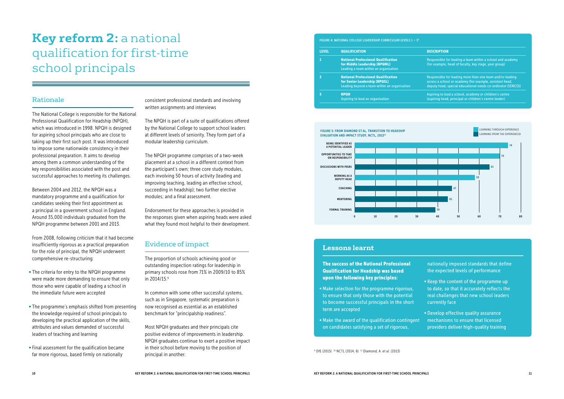# **Key reform 2:** a national qualification for first-time school principals

# Rationale

The National College is responsible for the National Professional Qualification for Headship (NPQH), which was introduced in 1998. NPQH is designed for aspiring school principals who are close to taking up their first such post. It was introduced to impose some nationwide consistency in their professional preparation. It aims to develop among them a common understanding of the key responsibilities associated with the post and successful approaches to meeting its challenges.

Between 2004 and 2012, the NPQH was a mandatory programme and a qualification for candidates seeking their first appointment as a principal in a government school in England. Around 35,000 individuals graduated from the NPQH programme between 2001 and 2013.

From 2008, following criticism that it had become insufficiently rigorous as a practical preparation for the role of principal, the NPQH underwent comprehensive re-structuring:

- The criteria for entry to the NPQH programme were made more demanding to ensure that only those who were capable of leading a school in the immediate future were accepted
- The programme's emphasis shifted from presenting the knowledge required of school principals to developing the practical application of the skills, attributes and values demanded of successful leaders of teaching and learning
- •Final assessment for the qualification became far more rigorous, based firmly on nationally

#### FIGURE 5: FROM DIAMOND ET AL, TRANSITION TO HEADSHIP EVALUATION AND IMPACT STUDY, NCTL, 2013<sup>11</sup>

consistent professional standards and involving written assignments and interviews

The NPQH is part of a suite of qualifications offered by the National College to support school leaders at different levels of seniority. They form part of a modular leadership curriculum.

The NPQH programme comprises of a two-week placement at a school in a different context from the participant's own; three core study modules, each involving 50 hours of activity (leading and improving teaching, leading an effective school, succeeding in headship); two further elective modules; and a final assessment.

Endorsement for these approaches is provided in the responses given when aspiring heads were asked what they found most helpful to their development.

# Evidence of impact

The proportion of schools achieving good or outstanding inspection ratings for leadership in primary schools rose from 71% in 2009/10 to 85% in 2014/15.9

In common with some other successful systems, such as in Singapore, systematic preparation is now recognised as essential as an established benchmark for "principalship readiness".

Most NPQH graduates and their principals cite positive evidence of improvements in leadership. NPQH graduates continue to exert a positive impact in their school before moving to the position of principal in another.





#### **DESCRIPTION**

| <b>LEVEL</b>   | <b>QUALIFICATION</b>                                                                                                        |
|----------------|-----------------------------------------------------------------------------------------------------------------------------|
| 1              | <b>National Professional Qualification</b><br>for Middle Leadership (NPQML)<br>Leading a team within an organisation        |
| $\overline{2}$ | <b>National Professional Qualification</b><br>for Senior Leadership (NPQSL)<br>Leading beyond a team within an organisation |
| 3              | <b>NPQH</b><br>Aspiring to lead an organisation                                                                             |

- Responsible for leading a team within a school and academy (for example, head of faculty, key stage, year group)
- Responsible for leading more than one team and/or leading across a school or academy (for example, assistant head, deputy head, special educational needs co-ordinator (SENCO))
- Aspiring to lead a school, academy or children's centre (aspiring head, principal or children's centre leader)

#### FIGURE 4: NATIONAL COLLEGE LEADERSHIP CURRICULUM LEVELS 1 – 39

The success of the National Professional Qualification for Headship was based upon the following key principles:

- Make selection for the programme rigorous, to ensure that only those with the potential to become successful principals in the short term are accepted
- Make the award of the qualification contingent on candidates satisfying a set of rigorous,

<sup>9</sup> DfE (2015) <sup>10</sup> NCTL (2014, 6) <sup>11</sup> Diamond, A. et al. (2013)

- nationally imposed standards that define the expected levels of performance
- Keep the content of the programme up to date, so that it accurately reflects the real challenges that new school leaders currently face
- Develop effective quality assurance mechanisms to ensure that licensed providers deliver high-quality training

### **Lessons learnt**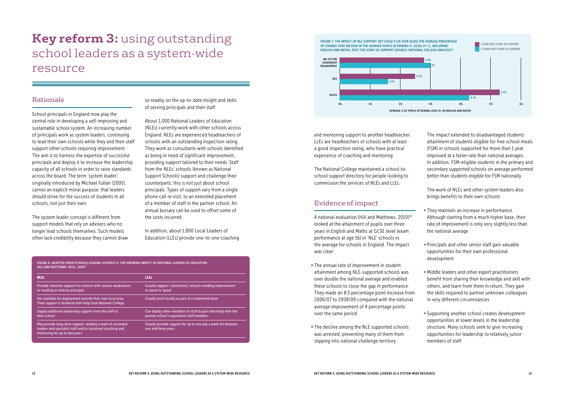# **Key reform 3:** using outstanding school leaders as a system-wide resource

### Rationale

School principals in England now play the central role in developing a self-improving and sustainable school system. An increasing number of principals work as system leaders, continuing to lead their own schools while they and their staff support other schools requiring improvement. The aim is to harness the expertise of successful principals and deploy it to increase the leadership capacity of all schools in order to raise standards across the board. The term 'system leader', originally introduced by Michael Fullan (2005), carries an explicit moral purpose: that leaders should strive for the success of students in all schools, not just their own.

The system leader concept is different from support models that rely on advisers who no longer lead schools themselves. Such models often lack credibility because they cannot draw so readily on the up-to-date insight and skills of serving principals and their staff.

About 1,000 National Leaders of Education (NLEs) currently work with other schools across England. NLEs are experienced headteachers of schools with an outstanding inspection rating. They work as consultants with schools identified as being in need of significant improvement, providing support tailored to their needs. Staff from the NLEs' schools (known as National Support Schools) support and challenge their counterparts; this is not just about school principals. Types of support vary from a single phone call or visit, to an extended placement of a member of staff in the partner school. An annual bursary can be used to offset some of the costs incurred.

In addition, about 1,800 Local Leaders of Education (LLEs) provide one-to-one coaching

| <b>NLEs</b>                                                                                                                                              | <b>LLEs</b>                                                                                                |  |
|----------------------------------------------------------------------------------------------------------------------------------------------------------|------------------------------------------------------------------------------------------------------------|--|
| Provide intensive support for schools with serious weaknesses<br>or needing an interim principal                                                         | Usually support 'satisfactory' schools needing improvement<br>to move to 'good'                            |  |
| Are available for deployment outside their own local area.<br>Their support is brokered with help from National College                                  | Usually work locally as part of a networked team                                                           |  |
| Supply additional leadership support from the staff of<br>their school                                                                                   | Can deploy other members of staff to pair informally with the<br>partner school's equivalent staff members |  |
| May provide long-term support, leading a team of seconded<br>leaders and specialist staff and/or sustained coaching and<br>mentoring for up to two years | Usually provide support for up to one day a week for between<br>one and three years                        |  |

and mentoring support to another headteacher. LLEs are headteachers of schools with at least a good inspection rating, who have practical experience of coaching and mentoring.

The National College maintained a school-toschool support directory for people looking to commission the services of NLEs and LLEs.

# Evidence of impact

A national evaluation (Hill and Matthews, 2010)14 looked at the attainment of pupils over three years in English and Maths at GCSE level (exam performance at age 16) in 'NLE' schools vs the average for schools in England. The impact was clear:

- The annual rate of improvement in student attainment among NLE-supported schools was over double the national average and enabled these schools to close the gap in performance. They made an 8.5 percentage point increase from 2006/07 to 2008/09 compared with the national average improvement of 4 percentage points over the same period
- The decline among the NLE supported schools was arrested, preventing many of them from slipping into national challenge territory

The impact extended to disadvantaged students: attainment of students eligible for free school meals (FSM) in schools supported for more than 1 year improved at a faster rate than national averages. In addition, FSM-eligible students in the primary and secondary supported schools on average performed better than students eligible for FSM nationally.

The work of NLEs and other system leaders also brings benefits to their own schools:

• They maintain an increase in performance. Although starting from a much higher base, their rate of improvement is only very slightly less than the national average

• Principals and other senior staff gain valuable opportunities for their own professional development

• Middle leaders and other expert practitioners benefit from sharing their knowledge and skill with others, and learn from them in return. They gain the skills required to partner unknown colleagues in very different circumstances

• Supporting another school creates development opportunities at lower levels in the leadership structure. Many schools seek to give increasing opportunities for leadership to relatively junior members of staff

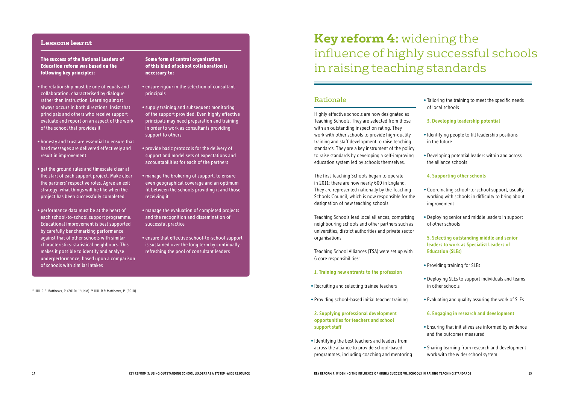The success of the National Leaders of Education reform was based on the following key principles:

- •the relationship must be one of equals and collaboration, characterised by dialogue rather than instruction. Learning almost always occurs in both directions. Insist that principals and others who receive support evaluate and report on an aspect of the work of the school that provides it
- honesty and trust are essential to ensure that hard messages are delivered effectively and result in improvement
- get the ground rules and timescale clear at the start of each support project. Make clear the partners' respective roles. Agree an exit strategy: what things will be like when the project has been successfully completed
- performance data must be at the heart of each school-to-school support programme. Educational improvement is best supported by carefully benchmarking performance against that of other schools with similar characteristics: statistical neighbours. This makes it possible to identify and analyse underperformance, based upon a comparison of schools with similar intakes

Some form of central organisation of this kind of school collaboration is necessary to:

- ensure rigour in the selection of consultant principals
- •supply training and subsequent monitoring of the support provided. Even highly effective principals may need preparation and training in order to work as consultants providing support to others
- provide basic protocols for the delivery of support and model sets of expectations and accountabilities for each of the partners
- manage the brokering of support, to ensure even geographical coverage and an optimum fit between the schools providing it and those receiving it
- manage the evaluation of completed projects and the recognition and dissemination of successful practice
- ensure that effective school-to-school support is sustained over the long term by continually refreshing the pool of consultant leaders

<sup>12</sup> Hill. R & Matthews, P. (2010)<sup>13</sup> (Ibid)<sup>14</sup> Hill. R & Matthews, P. (2010)

#### **Lessons learnt**

# **Key reform 4:** widening the influence of highly successful schools in raising teaching standards

### Rationale

Highly effective schools are now designated as Teaching Schools. They are selected from those with an outstanding inspection rating. They work with other schools to provide high-quality training and staff development to raise teaching standards. They are a key instrument of the policy to raise standards by developing a self-improving education system led by schools themselves.

The first Teaching Schools began to operate in 2011; there are now nearly 600 in England. They are represented nationally by the Teaching Schools Council, which is now responsible for the designation of new teaching schools.

Teaching Schools lead local alliances, comprising neighbouring schools and other partners such as universities, district authorities and private sector organisations.

Teaching School Alliances (TSA) were set up with 6 core responsibilities:

#### 1. Training new entrants to the profession

- Recruiting and selecting trainee teachers
- Providing school-based initial teacher training
- 2. Supplying professional development opportunities for teachers and school support staff
- •Identifying the best teachers and leaders from across the alliance to provide school-based programmes, including coaching and mentoring

• Tailoring the training to meet the specific needs of local schools

#### 3. Developing leadership potential

•Identifying people to fill leadership positions in the future

• Developing potential leaders within and across the alliance schools

#### 4. Supporting other schools

• Coordinating school-to-school support, usually working with schools in difficulty to bring about improvement

• Deploying senior and middle leaders in support of other schools

#### 5. Selecting outstanding middle and senior leaders to work as Specialist Leaders of Education (SLEs)

• Providing training for SLEs

• Deploying SLEs to support individuals and teams in other schools

• Evaluating and quality assuring the work of SLEs

#### 6. Engaging in research and development

• Ensuring that initiatives are informed by evidence and the outcomes measured

• Sharing learning from research and development work with the wider school system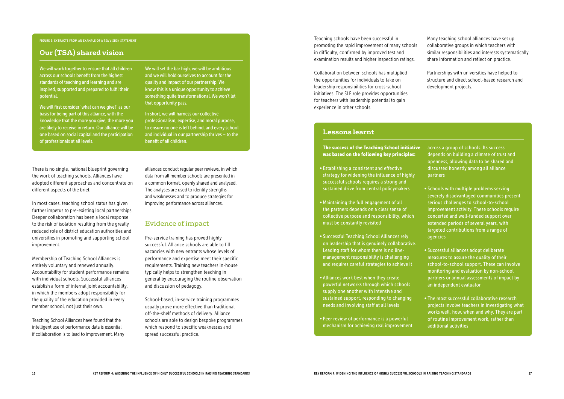There is no single, national blueprint governing the work of teaching schools. Alliances have adopted different approaches and concentrate on different aspects of the brief.

In most cases, teaching school status has given further impetus to pre-existing local partnerships. Deeper collaboration has been a local response to the risk of isolation resulting from the greatly reduced role of district education authorities and universities in promoting and supporting school improvement.

Membership of Teaching School Alliances is entirely voluntary and renewed annually. Accountability for student performance remains with individual schools. Successful alliances establish a form of internal joint accountability, in which the members adopt responsibility for the quality of the education provided in every member school, not just their own.

Teaching School Alliances have found that the intelligent use of performance data is essential if collaboration is to lead to improvement. Many

# **Our (TSA) shared vision**

alliances conduct regular peer reviews, in which data from all member schools are presented in a common format, openly shared and analysed. The analyses are used to identify strengths and weaknesses and to produce strategies for improving performance across alliances.

### Evidence of impact

Pre-service training has proved highly successful. Alliance schools are able to fill vacancies with new entrants whose levels of performance and expertise meet their specific requirements. Training new teachers in-house typically helps to strengthen teaching in general by encouraging the routine observation and discussion of pedagogy.

School-based, in-service training programmes usually prove more effective than traditional off-the-shelf methods of delivery. Alliance schools are able to design bespoke programmes which respond to specific weaknesses and spread successful practice.

#### FIGURE 9: EXTRACTS FROM AN EXAMPLE OF A TSA VISION STATEMENT

#### The success of the Teaching School initiative was based on the following key principles:

- Establishing a consistent and effective strategy for widening the influence of highly successful schools requires a strong and sustained drive from central policymakers
- Maintaining the full engagement of all the partners depends on a clear sense of collective purpose and responsibility, which must be constantly revisited
- Successful Teaching School Alliances rely on leadership that is genuinely collaborative. Leading staff for whom there is no linemanagement responsibility is challenging and requires careful strategies to achieve it
- Alliances work best when they create powerful networks through which schools supply one another with intensive and sustained support, responding to changing needs and involving staff at all levels
- Peer review of performance is a powerful mechanism for achieving real improvement

across a group of schools. Its success depends on building a climate of trust and openness, allowing data to be shared and discussed honestly among all alliance partners

• Schools with multiple problems serving severely disadvantaged communities present serious challenges to school-to-school improvement activity. These schools require concerted and well-funded support over extended periods of several years, with targeted contributions from a range of agencies

• Successful alliances adopt deliberate measures to assure the quality of their school-to-school support. These can involve monitoring and evaluation by non-school partners or annual assessments of impact by an independent evaluator

• The most successful collaborative research projects involve teachers in investigating what works well, how, when and why. They are part of routine improvement work, rather than additional activities

#### **Lessons learnt**

Teaching schools have been successful in promoting the rapid improvement of many schools in difficulty, confirmed by improved test and examination results and higher inspection ratings.

Collaboration between schools has multiplied the opportunities for individuals to take on leadership responsibilities for cross-school initiatives. The SLE role provides opportunities for teachers with leadership potential to gain experience in other schools.

Many teaching school alliances have set up collaborative groups in which teachers with similar responsibilities and interests systematically share information and reflect on practice.

Partnerships with universities have helped to structure and direct school-based research and development projects.

We will work together to ensure that all children across our schools benefit from the highest standards of teaching and learning and are inspired, supported and prepared to fulfil their potential.

We will first consider 'what can we give?' as our basis for being part of this alliance, with the knowledge that the more you give, the more you are likely to receive in return. Our alliance will be one based on social capital and the participation of professionals at all levels.

We will set the bar high, we will be ambitious and we will hold ourselves to account for the quality and impact of our partnership. We know this is a unique opportunity to achieve something quite transformational. We won't let that opportunity pass.

In short, we will harness our collective professionalism, expertise, and moral purpose, to ensure no one is left behind, and every school and individual in our partnership thrives – to the benefit of all children.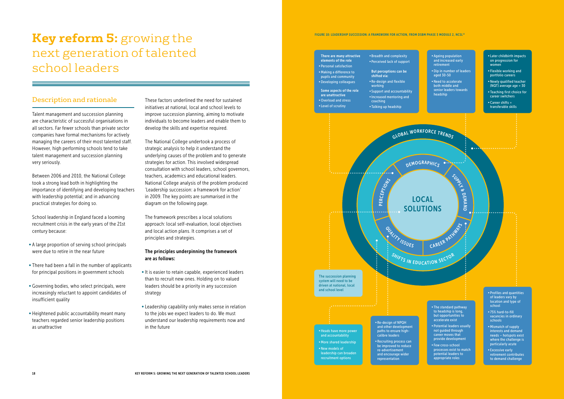# **Key reform 5:** growing the next generation of talented school leaders

### Description and rationale

Talent management and succession planning are characteristic of successful organisations in all sectors. Far fewer schools than private sector companies have formal mechanisms for actively managing the careers of their most talented staff. However, high performing schools tend to take talent management and succession planning very seriously.

Between 2006 and 2010, the National College took a strong lead both in highlighting the importance of identifying and developing teachers with leadership potential; and in advancing practical strategies for doing so.

School leadership in England faced a looming recruitment crisis in the early years of the 21st century because:

- A large proportion of serving school principals were due to retire in the near future
- There had been a fall in the number of applicants for principal positions in government schools
- Governing bodies, who select principals, were increasingly reluctant to appoint candidates of insufficient quality
- Heightened public accountability meant many teachers regarded senior leadership positions as unattractive

18 19 KEY REFORM 5: GROWING THE NEXT GENERATION OF TALENTED SCHOOL LEADERS

These factors underlined the need for sustained initiatives at national, local and school levels to improve succession planning, aiming to motivate individuals to become leaders and enable them to develop the skills and expertise required.

The National College undertook a process of strategic analysis to help it understand the underlying causes of the problem and to generate strategies for action. This involved widespread consultation with school leaders, school governors, teachers, academics and educational leaders. National College analysis of the problem produced 'Leadership succession: a framework for action' in 2009. The key points are summarised in the diagram on the following page.

GLOBAL WORKFORCE TRENDS SHIFTS IN EDUCATION SECTOR DEMOGRAPHICS PER CEPTIONS OUALITY ISSUES CAREER PATHWAYS LOCAL SOLUTIONS **•** Re-design of NPQH and other development paths to ensure high-The succession planning system will need to be driven at national, local and school level **•** Heads have more power

The framework prescribes a local solutions approach: local self-evaluation, local objectives and local action plans. It comprises a set of principles and strategies.

#### The principles underpinning the framework are as follows:

- •It is easier to retain capable, experienced leaders than to recruit new ones. Holding on to valued leaders should be a priority in any succession strategy
- Leadership capability only makes sense in relation to the jobs we expect leaders to do. We must understand our leadership requirements now and in the future

FIGURE 10: LEADERSHIP SUCCESSION: A FRAMEWORK FOR ACTION, FROM DSBM PHASE 3 MODULE 2, NCSL15

- **•** Later childbirth impacts on progression for women
- **•** Flexible working and portfolio careers
- **•** Newly qualified teacher (NQT) average age = 30
- **•** Teaching first choice for career switchers
- **•** Career shifts = transferable skills

There are many attractive elements of the role **•** Personal satisfaction

Some aspects of the role are unattractive **•** Overload and stress **•** Level of scrutiny

**•** Making a difference to pupils and community **•** Developing colleagues shifted via:

**•** Breadth and complexity **•** Perceived lack of support

But perceptions can be **•** Re-design and flexible working **•** Support and accountability **•** Increased mentoring and coaching **•** Talking up headship

- **•** Ageing population and increased early retirement
- **•** Dip in number of leaders aged 30-50
- **•** Need to accelerate both middle and senior leaders towards headship

SUBBLY B

**DEMAND** 

 $\bullet\cdot\cdot$ 

calibre leaders **•** Recruiting process can be improved to reduce re-advertisement and encourage wider representation

- **•** The standard pathway to headship is long, but opportunities to accelerate exist
- **•** Potential leaders usually not guided through career moves that provide development
- **•** Few cross-school processes exist to match potential leaders to appropriate roles
- **•** Profiles and quantities of leaders vary by location and type of school
- **•** 75% hard-to-fill vacancies in ordinary schools
- **•** Mismatch of supply interests and demand needs – hotspots exist where the challenge is particularly acute
- **•** Excessive early retirement contributes to demand challenge

and accountability **•** More shared leadership **•** New models of leadership can broaden recruitment options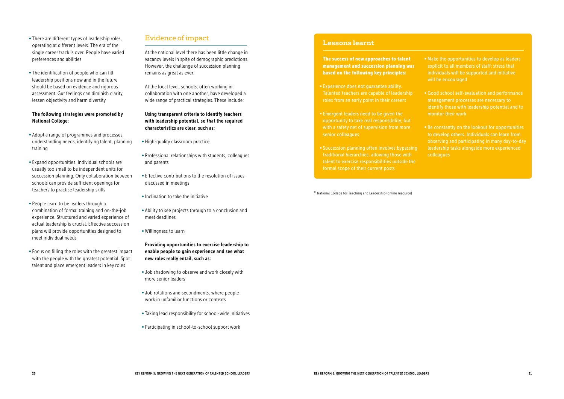- There are different types of leadership roles, operating at different levels. The era of the single career track is over. People have varied preferences and abilities
- The identification of people who can fill leadership positions now and in the future should be based on evidence and rigorous assessment. Gut feelings can diminish clarity, lessen objectivity and harm diversity

#### The following strategies were promoted by National College:

- Adopt a range of programmes and processes: understanding needs, identifying talent, planning training
- Expand opportunities. Individual schools are usually too small to be independent units for succession planning. Only collaboration between schools can provide sufficient openings for teachers to practise leadership skills
- People learn to be leaders through a combination of formal training and on-the-job experience. Structured and varied experience of actual leadership is crucial. Effective succession plans will provide opportunities designed to meet individual needs
- •Focus on filling the roles with the greatest impact with the people with the greatest potential. Spot talent and place emergent leaders in key roles

# Evidence of impact

At the national level there has been little change in vacancy levels in spite of demographic predictions. However, the challenge of succession planning remains as great as ever.

At the local level, schools, often working in collaboration with one another, have developed a wide range of practical strategies. These include:

#### Using transparent criteria to identify teachers with leadership potential, so that the required characteristics are clear, such as:

- High-quality classroom practice
- Professional relationships with students, colleagues and parents
- Effective contributions to the resolution of issues discussed in meetings
- Inclination to take the initiative
- Ability to see projects through to a conclusion and meet deadlines
- Willingness to learn

Providing opportunities to exercise leadership to enable people to gain experience and see what new roles really entail, such as:

- Job shadowing to observe and work closely with more senior leaders
- Job rotations and secondments, where people work in unfamiliar functions or contexts
- Taking lead responsibility for school-wide initiatives
- Participating in school-to-school support work

The success of new approaches to talent management and succession planning was based on the following key principles:

- Experience does not guarantee ability. Talented teachers are capable of leadership roles from an early point in their careers
- Emergent leaders need to be given the opportunity to take real responsibility, but with a safety net of supervision from more senior colleagues
- Succession planning often involves bypassing traditional hierarchies, allowing those with talent to exercise responsibilities outside the formal scope of their current posts

• Make the opportunities to develop as leaders explicit to all members of staff: stress that individuals will be supported and initiative will be encouraged

• Good school self-evaluation and performance management processes are necessary to identify those with leadership potential and to monitor their work

• Be constantly on the lookout for opportunities to develop others. Individuals can learn from observing and participating in many day-to-day leadership tasks alongside more experienced colleagues

#### **Lessons learnt**

15 National College for Teaching and Leadership (online resource)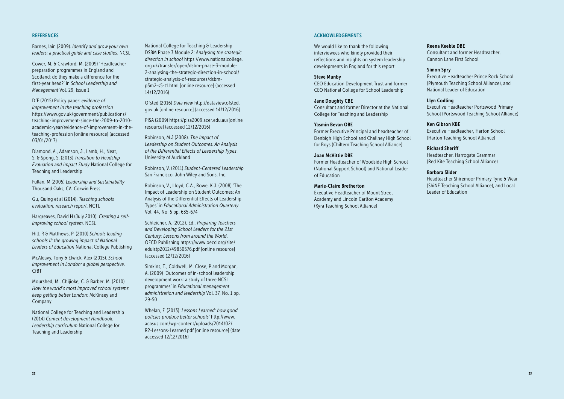#### **REFERENCES**

Barnes, Iain (2009). *Identify and grow your own leaders: a practical guide and case studies*. NCSL

Cower, M. & Crawford, M. (2009) 'Headteacher preparation programmes in England and Scotland: do they make a difference for the first-year head?' in *School Leadership and Management* Vol. 29, Issue 1

DfE (2015) Policy paper: *evidence of improvement in the teaching profession* https://www.gov.uk/government/publications/ teaching-improvement-since-the-2009-to-2010 academic-year/evidence-of-improvement-in-theteaching-profession [online resource] (accessed 03/01/2017)

Diamond, A., Adamson, J., Lamb, H., Neat, S. & Spong, S. (2013) *Transition to Headship Evaluation and Impact Study* National College for Teaching and Leadership

Fullan, M (2005) *Leadership and Sustainability* Thousand Oaks, CA: Corwin Press

Gu, Quing et al (2014). *Teaching schools evaluation: research report*. NCTL

Hargreaves, David H (July 2010). *Creating a selfimproving school system*. NCSL

Hill. R & Matthews, P. (2010) *Schools leading schools II: the growing impact of National Leaders of Education* National College Publishing

McAleavy, Tony & Elwick, Alex (2015). *School improvement in London: a global perspective*. CfBT

Mourshed, M., Chijioke, C. & Barber, M. (2010) *How the world's most improved school systems keep getting better London*: McKinsey and Company

National College for Teaching and Leadership (2014) *Content development Handbook: Leadership curriculum* National College for Teaching and Leadership

National College for Teaching & Leadership DSBM Phase 3 Module 2: *Analysing the strategic direction in school* https://www.nationalcollege. org.uk/transfer/open/dsbm-phase-3-module-2-analysing-the-strategic-direction-in-school/ strategic-analysis-of-resources/dsbmp3m2-s5-t1.html [online resource] (accessed 14/12/2016)

Ofsted (2016) *Data view* http://dataview.ofsted. gov.uk [online resource] (accessed 14/12/2016)

PISA (2009) https://pisa2009.acer.edu.au/[online resource] (accessed 12/12/2016)

Robinson, M.J (2008). *The Impact of Leadership on Student Outcomes: An Analysis of the Differential Effects of Leadership Types*. University of Auckland

Robinson, V. (2011) *Student-Centered Leadership* San Francisco: John Wiley and Sons, Inc.

Robinson, V., Lloyd, C.A., Rowe, K.J. (2008) 'The Impact of Leadership on Student Outcomes: An Analysis of the Differential Effects of Leadership Types' in *Educational Administration Quarterly* Vol. 44, No. 5 pp. 635-674

Schleicher, A. (2012), Ed., *Preparing Teachers and Developing School Leaders for the 21st Century: Lessons from around the World*, OECD Publishing https://www.oecd.org/site/ eduistp2012/49850576.pdf [online resource] (accessed 12/12/2016)

Simkins, T., Coldwell, M. Close, P and Morgan, A. (2009) 'Outcomes of in-school leadership development work: a study of three NCSL programmes' in *Educational management administration and leadership* Vol. 37, No. 1 pp. 29-50

Whelan, F. (2013) '*Lessons Learned: how good policies produce better schools*' http://www. acasus.com/wp-content/uploads/2014/02/ R2-Lessons-Learned.pdf [online resource] (date accessed 12/12/2016)

#### ACKNOWLEDGEMENTS

We would like to thank the following interviewees who kindly provided their reflections and insights on system leadership developments in England for this report:

#### Steve Munby

CEO Education Development Trust and former CEO National College for School Leadership

#### Jane Doughty CBE

Consultant and former Director at the National College for Teaching and Leadership

#### Yasmin Bevan OBE

Former Executive Principal and headteacher of Denbigh High School and Challney High School for Boys (Chiltern Teaching School Alliance)

#### Joan McVittie DBE

Former Headteacher of Woodside High School (National Support School) and National Leader of Education

#### Marie-Claire Bretherton

Executive Headteacher of Mount Street Academy and Lincoln Carlton Academy (Kyra Teaching School Alliance)

#### Reena Keeble DBE

Consultant and former Headteacher, Cannon Lane First School

#### Simon Spry

Executive Headteacher Prince Rock School (Plymouth Teaching School Alliance), and National Leader of Education

#### Llyn Codling

Executive Headteacher Portswood Primary School (Portswood Teaching School Alliance)

#### Ken Gibson KBE

Executive Headteacher, Harton School (Harton Teaching School Alliance)

#### Richard Sheriff

Headteacher, Harrogate Grammar (Red Kite Teaching School Alliance)

#### Barbara Slider

Headteacher Shiremoor Primary Tyne & Wear (ShiNE Teaching School Alliance), and Local Leader of Education